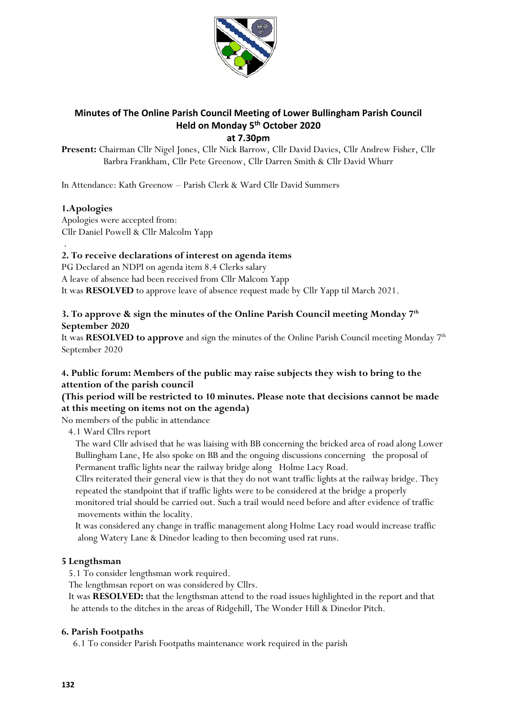

# **Minutes of The Online Parish Council Meeting of Lower Bullingham Parish Council Held on Monday 5 th October 2020**

**at 7.30pm** 

**Present:** Chairman Cllr Nigel Jones, Cllr Nick Barrow, Cllr David Davies, Cllr Andrew Fisher, Cllr Barbra Frankham, Cllr Pete Greenow, Cllr Darren Smith & Cllr David Whurr

In Attendance: Kath Greenow – Parish Clerk & Ward Cllr David Summers

# **1.Apologies**

Apologies were accepted from: Cllr Daniel Powell & Cllr Malcolm Yapp

#### . **2. To receive declarations of interest on agenda items**

PG Declared an NDPI on agenda item 8.4 Clerks salary

A leave of absence had been received from Cllr Malcom Yapp

It was **RESOLVED** to approve leave of absence request made by Cllr Yapp til March 2021.

# **3. To approve & sign the minutes of the Online Parish Council meeting Monday 7th September 2020**

It was **RESOLVED to approve** and sign the minutes of the Online Parish Council meeting Monday 7th September 2020

# **4. Public forum: Members of the public may raise subjects they wish to bring to the attention of the parish council**

# **(This period will be restricted to 10 minutes. Please note that decisions cannot be made at this meeting on items not on the agenda)**

No members of the public in attendance

4.1 Ward Cllrs report

 The ward Cllr advised that he was liaising with BB concerning the bricked area of road along Lower Bullingham Lane, He also spoke on BB and the ongoing discussions concerning the proposal of Permanent traffic lights near the railway bridge along Holme Lacy Road.

 Cllrs reiterated their general view is that they do not want traffic lights at the railway bridge. They repeated the standpoint that if traffic lights were to be considered at the bridge a properly

 monitored trial should be carried out. Such a trail would need before and after evidence of traffic movements within the locality.

 It was considered any change in traffic management along Holme Lacy road would increase traffic along Watery Lane & Dinedor leading to then becoming used rat runs.

## **5 Lengthsman**

5.1 To consider lengthsman work required.

The lengthmsan report on was considered by Cllrs.

 It was **RESOLVED:** that the lengthsman attend to the road issues highlighted in the report and that he attends to the ditches in the areas of Ridgehill, The Wonder Hill & Dinedor Pitch.

## **6. Parish Footpaths**

6.1 To consider Parish Footpaths maintenance work required in the parish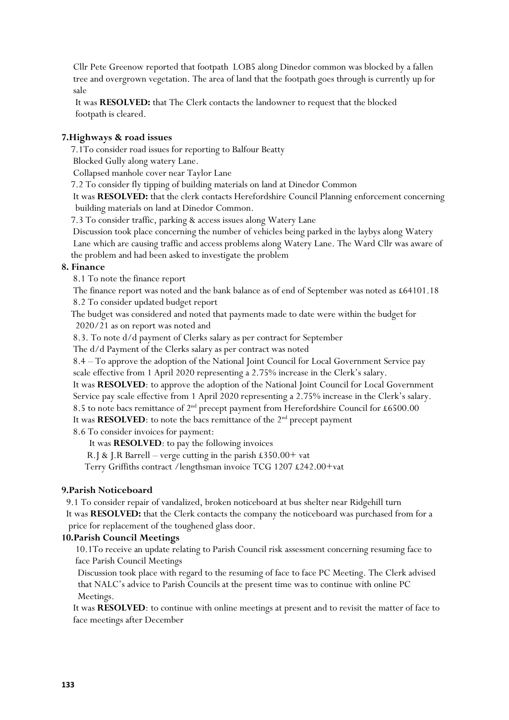Cllr Pete Greenow reported that footpath LOB5 along Dinedor common was blocked by a fallen tree and overgrown vegetation. The area of land that the footpath goes through is currently up for sale

 It was **RESOLVED:** that The Clerk contacts the landowner to request that the blocked footpath is cleared.

#### **7.Highways & road issues**

7.1To consider road issues for reporting to Balfour Beatty

Blocked Gully along watery Lane.

Collapsed manhole cover near Taylor Lane

7.2 To consider fly tipping of building materials on land at Dinedor Common

 It was **RESOLVED:** that the clerk contacts Herefordshire Council Planning enforcement concerning building materials on land at Dinedor Common.

7.3 To consider traffic, parking & access issues along Watery Lane

 Discussion took place concerning the number of vehicles being parked in the laybys along Watery Lane which are causing traffic and access problems along Watery Lane. The Ward Cllr was aware of the problem and had been asked to investigate the problem

#### **8. Finance**

8.1 To note the finance report

 The finance report was noted and the bank balance as of end of September was noted as £64101.18 8.2 To consider updated budget report

 The budget was considered and noted that payments made to date were within the budget for 2020/21 as on report was noted and

8.3. To note d/d payment of Clerks salary as per contract for September

The d/d Payment of the Clerks salary as per contract was noted

 8.4 – To approve the adoption of the National Joint Council for Local Government Service pay scale effective from 1 April 2020 representing a 2.75% increase in the Clerk's salary.

 It was **RESOLVED**: to approve the adoption of the National Joint Council for Local Government Service pay scale effective from 1 April 2020 representing a 2.75% increase in the Clerk's salary. 8.5 to note bacs remittance of  $2<sup>nd</sup>$  precept payment from Herefordshire Council for £6500.00

It was **RESOLVED**: to note the bacs remittance of the  $2<sup>nd</sup>$  precept payment

8.6 To consider invoices for payment:

It was **RESOLVED**: to pay the following invoices

R.J & J.R Barrell – verge cutting in the parish £350.00+ vat

Terry Griffiths contract /lengthsman invoice TCG 1207 £242.00+vat

## **9.Parish Noticeboard**

 9.1 To consider repair of vandalized, broken noticeboard at bus shelter near Ridgehill turn It was **RESOLVED:** that the Clerk contacts the company the noticeboard was purchased from for a price for replacement of the toughened glass door.

## **10.Parish Council Meetings**

 10.1To receive an update relating to Parish Council risk assessment concerning resuming face to face Parish Council Meetings

 Discussion took place with regard to the resuming of face to face PC Meeting. The Clerk advised that NALC's advice to Parish Councils at the present time was to continue with online PC Meetings.

 It was **RESOLVED**: to continue with online meetings at present and to revisit the matter of face to face meetings after December